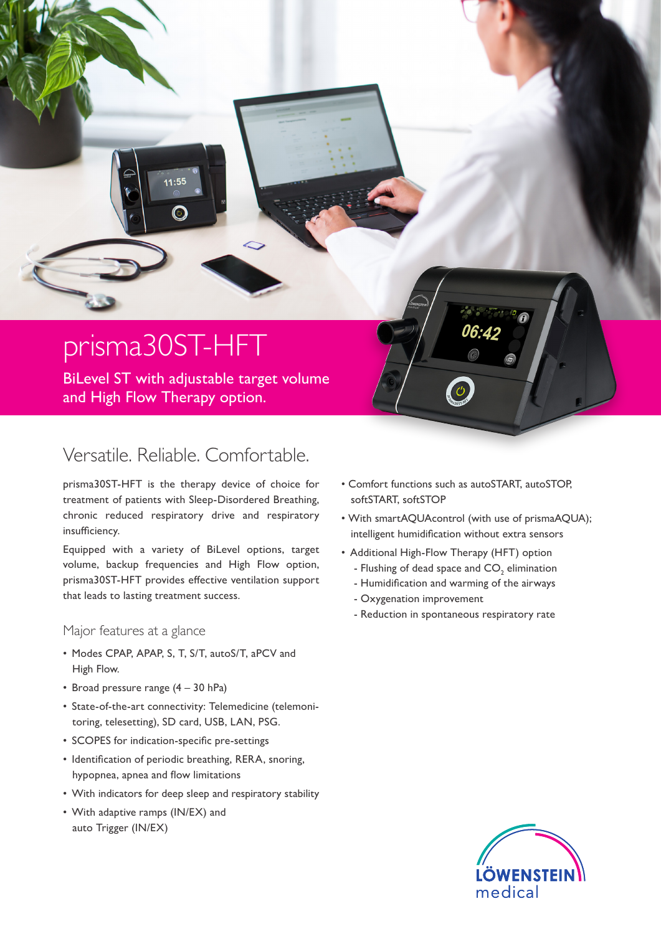## prisma30ST-HFT

 $11:55$ 

BiLevel ST with adjustable target volume and High Flow Therapy option.

## Versatile. Reliable. Comfortable.

prisma30ST-HFT is the therapy device of choice for treatment of patients with Sleep-Disordered Breathing, chronic reduced respiratory drive and respiratory insufficiency.

Equipped with a variety of BiLevel options, target volume, backup frequencies and High Flow option, prisma30ST-HFT provides effective ventilation support that leads to lasting treatment success.

## Major features at a glance

- Modes CPAP, APAP, S, T, S/T, autoS/T, aPCV and High Flow.
- Broad pressure range (4 30 hPa)
- State-of-the-art connectivity: Telemedicine (telemonitoring, telesetting), SD card, USB, LAN, PSG.
- SCOPES for indication-specific pre-settings
- Identification of periodic breathing, RERA, snoring, hypopnea, apnea and flow limitations
- With indicators for deep sleep and respiratory stability
- With adaptive ramps (IN/EX) and auto Trigger (IN/EX)
- Comfort functions such as autoSTART, autoSTOP, softSTART, softSTOP
- With smartAQUAcontrol (with use of prismaAQUA); intelligent humidification without extra sensors
- Additional High-Flow Therapy (HFT) option
	- Flushing of dead space and  $\mathsf{CO}_2$  elimination
	- Humidification and warming of the airways
	- Oxygenation improvement
	- Reduction in spontaneous respiratory rate